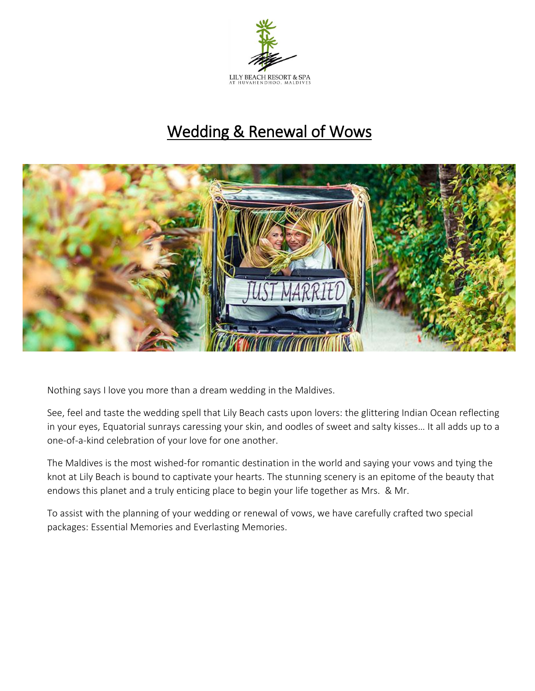

# Wedding & Renewal of Wows



Nothing says I love you more than a dream wedding in the Maldives.

 See, feel and taste the wedding spell that Lily Beach casts upon lovers: the glittering Indian Ocean reflecting one-of-a-kind celebration of your love for one another. in your eyes, Equatorial sunrays caressing your skin, and oodles of sweet and salty kisses… It all adds up to a

knot at Lily Beach is bound to captivate your hearts. The stunning scenery is an epitome of the beauty that knot at Lily Beach is bound to captivate your hearts. The stunning scenery is an epitome of the beauty that The Maldives is the most wished-for romantic destination in the world and saying your vows and tying the endows this planet and a truly enticing place to begin your life together as Mrs. & Mr.

 To assist with the planning of your wedding or renewal of vows, we have carefully crafted two special packages: Essential Memories and Everlasting Memories.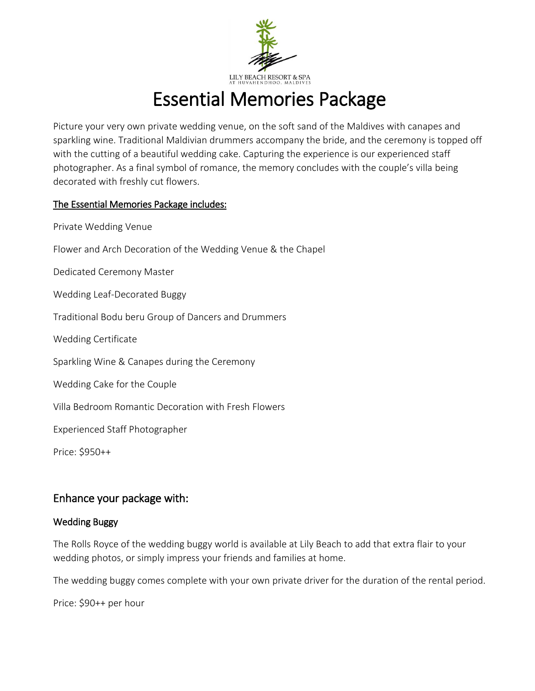

# Essential Memories Package

Picture your very own private wedding venue, on the soft sand of the Maldives with canapes and sparkling wine. Traditional Maldivian drummers accompany the bride, and the ceremony is topped off with the cutting of a beautiful wedding cake. Capturing the experience is our experienced staff photographer. As a final symbol of romance, the memory concludes with the couple's villa being decorated with freshly cut flowers.

### The Essential Memories Package includes:

Private Wedding Venue

Flower and Arch Decoration of the Wedding Venue & the Chapel

Dedicated Ceremony Master

Wedding Leaf-Decorated Buggy

Traditional Bodu beru Group of Dancers and Drummers

Wedding Certificate

Tempiny<br>Tempo temperatura temperatura di temperatura di temperatura di temperatura di temperatura di temperatura di te<br>Temperatura di temperatura di temperatura di temperatura di temperatura di temperatura di temperatura d Sparkling Wine & Canapes during the Ceremony

Wedding Cake for the Couple

Villa Bedroom Romantic Decoration with Fresh Flowers

Experienced Staff Photographer

Price: \$950++

## Enhance your package with:

#### Wedding Buggy

The Rolls Royce of the wedding buggy world is available at Lily Beach to add that extra flair to your wedding photos, or simply impress your friends and families at home.

The wedding buggy comes complete with your own private driver for the duration of the rental period.

Price: \$90++ per hour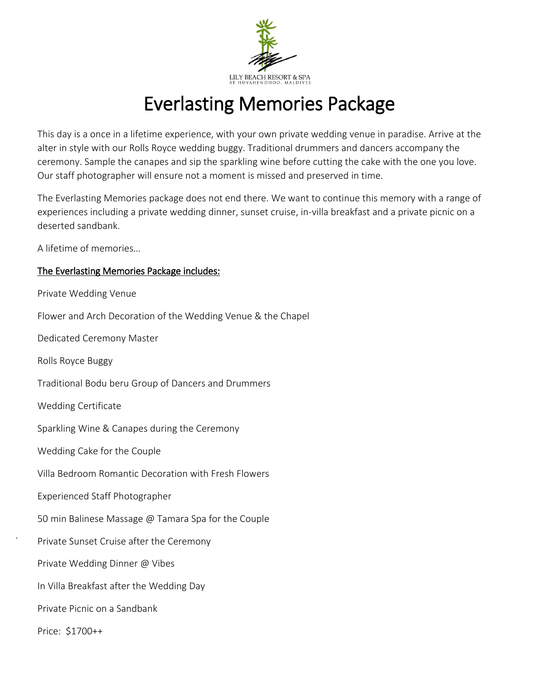

# Everlasting Memories Package

This day is a once in a lifetime experience, with your own private wedding venue in paradise. Arrive at the alter in style with our Rolls Royce wedding buggy. Traditional drummers and dancers accompany the ceremony. Sample the canapes and sip the sparkling wine before cutting the cake with the one you love. Our staff photographer will ensure not a moment is missed and preserved in time.

The Everlasting Memories package does not end there. We want to continue this memory with a range of experiences including a private wedding dinner, sunset cruise, in-villa breakfast and a private picnic on a deserted sandbank.

A lifetime of memories…

### The Everlasting Memories Package includes:

Private Wedding Venue

Flower and Arch Decoration of the Wedding Venue & the Chapel

Dedicated Ceremony Master

Rolls Royce Buggy

Traditional Bodu beru Group of Dancers and Drummers

Wedding Certificate

Sparkling Wine & Canapes during the Ceremony

Wedding Cake for the Couple

Villa Bedroom Romantic Decoration with Fresh Flowers

Experienced Staff Photographer

50 min Balinese Massage @ Tamara Spa for the Couple

Private Sunset Cruise after the Ceremony

Private Wedding Dinner @ Vibes

In Villa Breakfast after the Wedding Day

Private Picnic on a Sandbank

Price: \$1700++

.